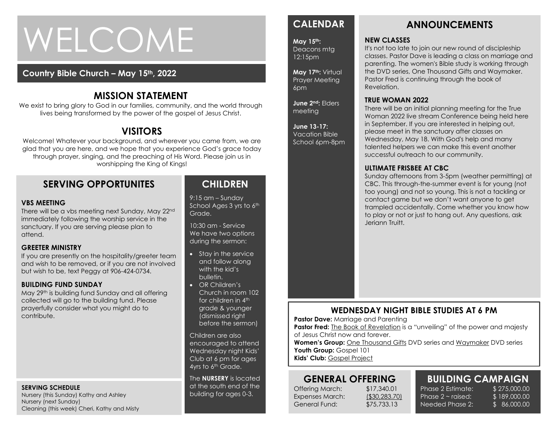# WELCOME

### **Country Bible Church – May 15th, 2022**

# **MISSION STATEMENT**

We exist to bring glory to God in our families, community, and the world through lives being transformed by the power of the gospel of Jesus Christ.

# **VISITORS**

Welcome! Whatever your background, and wherever you came from, we are glad that you are here, and we hope that you experience God's grace today through prayer, singing, and the preaching of His Word. Please join us in worshipping the King of Kings!

# **SERVING OPPORTUNITES**

#### **VBS MEETING**

There will be a vbs meeting next Sunday, May 22nd immediately following the worship service in the sanctuary. If you are serving please plan to attend.

#### **GREETER MINISTRY**

**GREETER MINISTRY**<br>If you are presently on the hospitality/greeter team and wish to be removed, or if you are not involved but wish to be, text Peggy at 906-424-0734.

#### **BUILDING FUND SUNDAY**

May 29<sup>th</sup> is building fund Sunday and all offering collected will go to the building fund. Please prayerfully consider what you might do to contribute.

#### **SERVING SCHEDULE**

Nursery (this Sunday) Kathy and Ashley Nursery (next Sunday) Cleaning (this week) Cheri, Kathy and Misty

# **CHILDREN**

9:15 am – Sunday School Ages 3 yrs to 6th Grade.

10:30 am - Service We have two options during the sermon:

- Stay in the service and follow along with the kid's bulletin.
- OR Children's Church in room 102 for children in 4<sup>th</sup> grade & younger (dismissed right before the sermon)

Children are also encouraged to attend Wednesday night Kids' Club at 6 pm for ages 4yrs to 6<sup>th</sup> Grade.

The **NURSERY** is located at the south end of the building for ages 0-3.

# **CALENDAR**

**May 15th:**  Deacons mtg 12:15pm

**May 17th:** Virtual Prayer Meeting 6pm

**June 2nd:** Elders meeting

#### **June 13-17:**  Vacation Bible

School 6pm-8pm

# **ANNOUNCEMENTS**

#### **NEW CLASSES**

It's not too late to join our new round of discipleship classes. Pastor Dave is leading a class on marriage and parenting. The women's Bible study is working through the DVD series, One Thousand Gifts and Waymaker. Pastor Fred is continuing through the book of Revelation.

#### **TRUE WOMAN 2022**

There will be an initial planning meeting for the True Woman 2022 live stream Conference being held here in September. If you are interested in helping out, please meet in the sanctuary after classes on Wednesday, May 18. With God's help and many talented helpers we can make this event another successful outreach to our community.

#### **ULTIMATE FRISBEE AT CBC**

Sunday afternoons from 3-5pm (weather permitting) at CBC. This through-the-summer event is for young (not too young) and not so young. This is not a tackling or contact game but we don't want anyone to get trampled accidentally. Come whether you know how to play or not or just to hang out. Any questions, ask Jeriann Truitt.

# **WEDNESDAY NIGHT BIBLE STUDIES AT 6 PM**

**Pastor Dave: Marriage and Parenting** 

**Pastor Fred:** The Book of Revelation is a "unveiling" of the power and majesty of Jesus Christ now and forever.

Women's Group: One Thousand Gifts DVD series and Waymaker DVD series Youth Group: Gospel 101

**Kids' Club:** Gospel Project

# **GENERAL OFFERING**

Offering March: \$17,340.01 Expenses March: (\$30,283.70) General Fund: \$75,733.13

Phase 2 Estimate: \$275,000.00 Phase  $2 \sim$  raised: Needed Phase 2:

**BUILDING CAMPAIGN** \$ 189,000.00 \$ 86,000.00